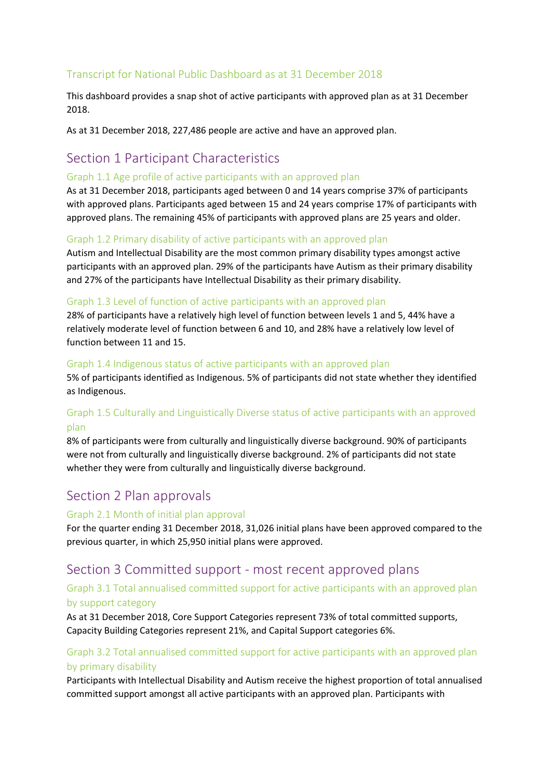## Transcript for National Public Dashboard as at 31 December 2018

This dashboard provides a snap shot of active participants with approved plan as at 31 December 2018.

As at 31 December 2018, 227,486 people are active and have an approved plan.

# Section 1 Participant Characteristics

#### Graph 1.1 Age profile of active participants with an approved plan

As at 31 December 2018, participants aged between 0 and 14 years comprise 37% of participants with approved plans. Participants aged between 15 and 24 years comprise 17% of participants with approved plans. The remaining 45% of participants with approved plans are 25 years and older.

#### Graph 1.2 Primary disability of active participants with an approved plan

Autism and Intellectual Disability are the most common primary disability types amongst active participants with an approved plan. 29% of the participants have Autism as their primary disability and 27% of the participants have Intellectual Disability as their primary disability.

#### Graph 1.3 Level of function of active participants with an approved plan

28% of participants have a relatively high level of function between levels 1 and 5, 44% have a relatively moderate level of function between 6 and 10, and 28% have a relatively low level of function between 11 and 15.

#### Graph 1.4 Indigenous status of active participants with an approved plan

5% of participants identified as Indigenous. 5% of participants did not state whether they identified as Indigenous.

## Graph 1.5 Culturally and Linguistically Diverse status of active participants with an approved plan

8% of participants were from culturally and linguistically diverse background. 90% of participants were not from culturally and linguistically diverse background. 2% of participants did not state whether they were from culturally and linguistically diverse background.

# Section 2 Plan approvals

#### Graph 2.1 Month of initial plan approval

For the quarter ending 31 December 2018, 31,026 initial plans have been approved compared to the previous quarter, in which 25,950 initial plans were approved.

# Section 3 Committed support - most recent approved plans

#### Graph 3.1 Total annualised committed support for active participants with an approved plan by support category

As at 31 December 2018, Core Support Categories represent 73% of total committed supports, Capacity Building Categories represent 21%, and Capital Support categories 6%.

## Graph 3.2 Total annualised committed support for active participants with an approved plan by primary disability

Participants with Intellectual Disability and Autism receive the highest proportion of total annualised committed support amongst all active participants with an approved plan. Participants with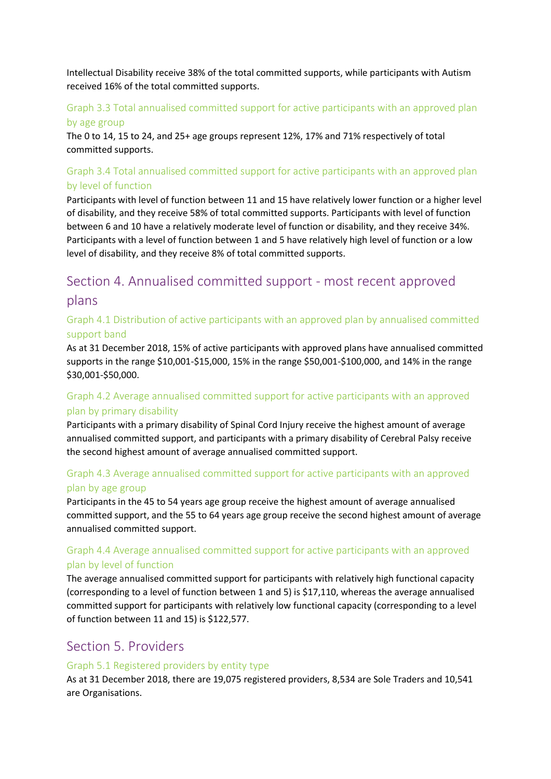Intellectual Disability receive 38% of the total committed supports, while participants with Autism received 16% of the total committed supports.

## Graph 3.3 Total annualised committed support for active participants with an approved plan

#### by age group

The 0 to 14, 15 to 24, and 25+ age groups represent 12%, 17% and 71% respectively of total committed supports.

## Graph 3.4 Total annualised committed support for active participants with an approved plan by level of function

Participants with level of function between 11 and 15 have relatively lower function or a higher level of disability, and they receive 58% of total committed supports. Participants with level of function between 6 and 10 have a relatively moderate level of function or disability, and they receive 34%. Participants with a level of function between 1 and 5 have relatively high level of function or a low level of disability, and they receive 8% of total committed supports.

# Section 4. Annualised committed support - most recent approved plans

## Graph 4.1 Distribution of active participants with an approved plan by annualised committed support band

As at 31 December 2018, 15% of active participants with approved plans have annualised committed supports in the range \$10,001-\$15,000, 15% in the range \$50,001-\$100,000, and 14% in the range \$30,001-\$50,000.

## Graph 4.2 Average annualised committed support for active participants with an approved plan by primary disability

Participants with a primary disability of Spinal Cord Injury receive the highest amount of average annualised committed support, and participants with a primary disability of Cerebral Palsy receive the second highest amount of average annualised committed support.

## Graph 4.3 Average annualised committed support for active participants with an approved plan by age group

Participants in the 45 to 54 years age group receive the highest amount of average annualised committed support, and the 55 to 64 years age group receive the second highest amount of average annualised committed support.

## Graph 4.4 Average annualised committed support for active participants with an approved plan by level of function

The average annualised committed support for participants with relatively high functional capacity (corresponding to a level of function between 1 and 5) is \$17,110, whereas the average annualised committed support for participants with relatively low functional capacity (corresponding to a level of function between 11 and 15) is \$122,577.

# Section 5. Providers

#### Graph 5.1 Registered providers by entity type

As at 31 December 2018, there are 19,075 registered providers, 8,534 are Sole Traders and 10,541 are Organisations.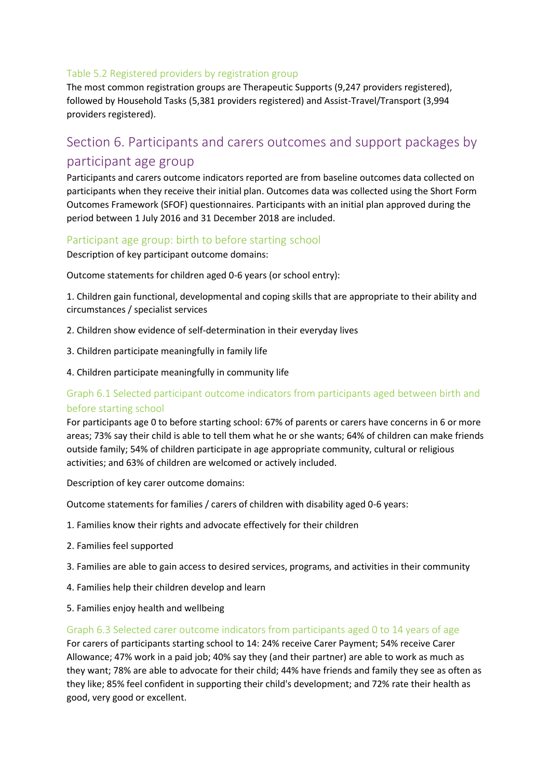#### Table 5.2 Registered providers by registration group

The most common registration groups are Therapeutic Supports (9,247 providers registered), followed by Household Tasks (5,381 providers registered) and Assist-Travel/Transport (3,994 providers registered).

# Section 6. Participants and carers outcomes and support packages by participant age group

Participants and carers outcome indicators reported are from baseline outcomes data collected on participants when they receive their initial plan. Outcomes data was collected using the Short Form Outcomes Framework (SFOF) questionnaires. Participants with an initial plan approved during the period between 1 July 2016 and 31 December 2018 are included.

#### Participant age group: birth to before starting school

Description of key participant outcome domains:

Outcome statements for children aged 0-6 years (or school entry):

1. Children gain functional, developmental and coping skills that are appropriate to their ability and circumstances / specialist services

- 2. Children show evidence of self-determination in their everyday lives
- 3. Children participate meaningfully in family life
- 4. Children participate meaningfully in community life

#### Graph 6.1 Selected participant outcome indicators from participants aged between birth and before starting school

For participants age 0 to before starting school: 67% of parents or carers have concerns in 6 or more areas; 73% say their child is able to tell them what he or she wants; 64% of children can make friends outside family; 54% of children participate in age appropriate community, cultural or religious activities; and 63% of children are welcomed or actively included.

Description of key carer outcome domains:

Outcome statements for families / carers of children with disability aged 0-6 years:

- 1. Families know their rights and advocate effectively for their children
- 2. Families feel supported
- 3. Families are able to gain access to desired services, programs, and activities in their community
- 4. Families help their children develop and learn
- 5. Families enjoy health and wellbeing

#### Graph 6.3 Selected carer outcome indicators from participants aged 0 to 14 years of age

For carers of participants starting school to 14: 24% receive Carer Payment; 54% receive Carer Allowance; 47% work in a paid job; 40% say they (and their partner) are able to work as much as they want; 78% are able to advocate for their child; 44% have friends and family they see as often as they like; 85% feel confident in supporting their child's development; and 72% rate their health as good, very good or excellent.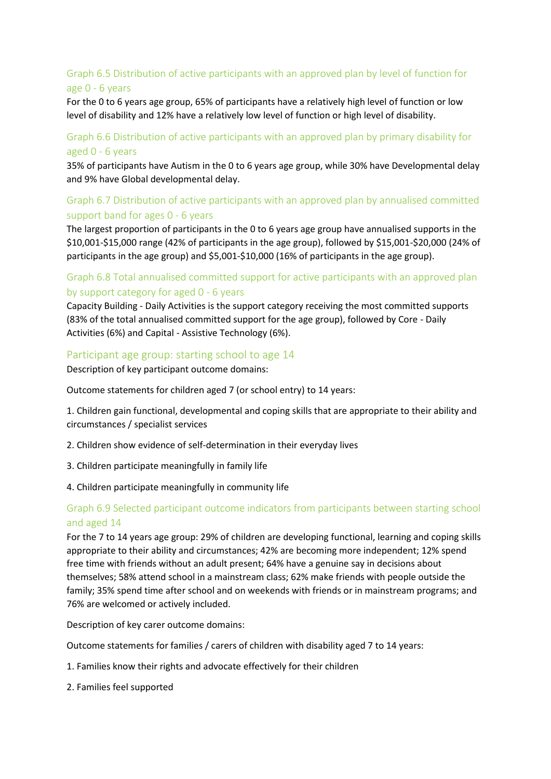## Graph 6.5 Distribution of active participants with an approved plan by level of function for age 0 - 6 years

For the 0 to 6 years age group, 65% of participants have a relatively high level of function or low level of disability and 12% have a relatively low level of function or high level of disability.

#### Graph 6.6 Distribution of active participants with an approved plan by primary disability for aged 0 - 6 years

35% of participants have Autism in the 0 to 6 years age group, while 30% have Developmental delay and 9% have Global developmental delay.

## Graph 6.7 Distribution of active participants with an approved plan by annualised committed support band for ages 0 - 6 years

The largest proportion of participants in the 0 to 6 years age group have annualised supports in the \$10,001-\$15,000 range (42% of participants in the age group), followed by \$15,001-\$20,000 (24% of participants in the age group) and \$5,001-\$10,000 (16% of participants in the age group).

#### Graph 6.8 Total annualised committed support for active participants with an approved plan by support category for aged 0 - 6 years

Capacity Building - Daily Activities is the support category receiving the most committed supports (83% of the total annualised committed support for the age group), followed by Core - Daily Activities (6%) and Capital - Assistive Technology (6%).

#### Participant age group: starting school to age 14

Description of key participant outcome domains:

Outcome statements for children aged 7 (or school entry) to 14 years:

1. Children gain functional, developmental and coping skills that are appropriate to their ability and circumstances / specialist services

- 2. Children show evidence of self-determination in their everyday lives
- 3. Children participate meaningfully in family life
- 4. Children participate meaningfully in community life

#### Graph 6.9 Selected participant outcome indicators from participants between starting school and aged 14

For the 7 to 14 years age group: 29% of children are developing functional, learning and coping skills appropriate to their ability and circumstances; 42% are becoming more independent; 12% spend free time with friends without an adult present; 64% have a genuine say in decisions about themselves; 58% attend school in a mainstream class; 62% make friends with people outside the family; 35% spend time after school and on weekends with friends or in mainstream programs; and 76% are welcomed or actively included.

Description of key carer outcome domains:

Outcome statements for families / carers of children with disability aged 7 to 14 years:

- 1. Families know their rights and advocate effectively for their children
- 2. Families feel supported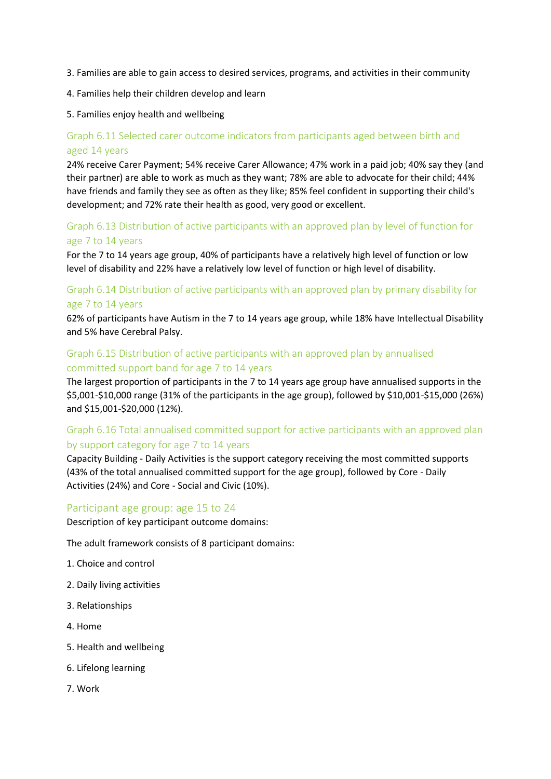- 3. Families are able to gain access to desired services, programs, and activities in their community
- 4. Families help their children develop and learn
- 5. Families enjoy health and wellbeing

## Graph 6.11 Selected carer outcome indicators from participants aged between birth and aged 14 years

24% receive Carer Payment; 54% receive Carer Allowance; 47% work in a paid job; 40% say they (and their partner) are able to work as much as they want; 78% are able to advocate for their child; 44% have friends and family they see as often as they like; 85% feel confident in supporting their child's development; and 72% rate their health as good, very good or excellent.

#### Graph 6.13 Distribution of active participants with an approved plan by level of function for age 7 to 14 years

For the 7 to 14 years age group, 40% of participants have a relatively high level of function or low level of disability and 22% have a relatively low level of function or high level of disability.

## Graph 6.14 Distribution of active participants with an approved plan by primary disability for age 7 to 14 years

62% of participants have Autism in the 7 to 14 years age group, while 18% have Intellectual Disability and 5% have Cerebral Palsy.

#### Graph 6.15 Distribution of active participants with an approved plan by annualised committed support band for age 7 to 14 years

The largest proportion of participants in the 7 to 14 years age group have annualised supports in the \$5,001-\$10,000 range (31% of the participants in the age group), followed by \$10,001-\$15,000 (26%) and \$15,001-\$20,000 (12%).

## Graph 6.16 Total annualised committed support for active participants with an approved plan by support category for age 7 to 14 years

Capacity Building - Daily Activities is the support category receiving the most committed supports (43% of the total annualised committed support for the age group), followed by Core - Daily Activities (24%) and Core - Social and Civic (10%).

#### Participant age group: age 15 to 24

Description of key participant outcome domains:

The adult framework consists of 8 participant domains:

- 1. Choice and control
- 2. Daily living activities
- 3. Relationships
- 4. Home
- 5. Health and wellbeing
- 6. Lifelong learning
- 7. Work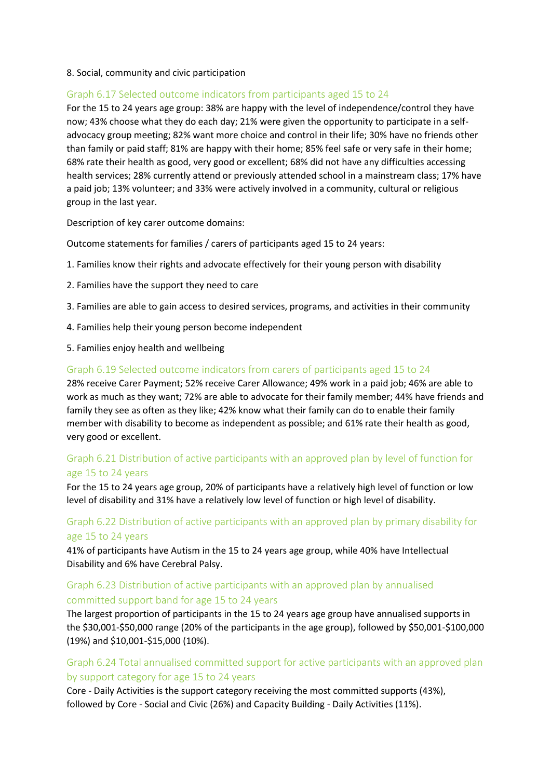#### 8. Social, community and civic participation

#### Graph 6.17 Selected outcome indicators from participants aged 15 to 24

For the 15 to 24 years age group: 38% are happy with the level of independence/control they have now; 43% choose what they do each day; 21% were given the opportunity to participate in a selfadvocacy group meeting; 82% want more choice and control in their life; 30% have no friends other than family or paid staff; 81% are happy with their home; 85% feel safe or very safe in their home; 68% rate their health as good, very good or excellent; 68% did not have any difficulties accessing health services; 28% currently attend or previously attended school in a mainstream class; 17% have a paid job; 13% volunteer; and 33% were actively involved in a community, cultural or religious group in the last year.

Description of key carer outcome domains:

Outcome statements for families / carers of participants aged 15 to 24 years:

- 1. Families know their rights and advocate effectively for their young person with disability
- 2. Families have the support they need to care
- 3. Families are able to gain access to desired services, programs, and activities in their community
- 4. Families help their young person become independent
- 5. Families enjoy health and wellbeing

#### Graph 6.19 Selected outcome indicators from carers of participants aged 15 to 24

28% receive Carer Payment; 52% receive Carer Allowance; 49% work in a paid job; 46% are able to work as much as they want; 72% are able to advocate for their family member; 44% have friends and family they see as often as they like; 42% know what their family can do to enable their family member with disability to become as independent as possible; and 61% rate their health as good, very good or excellent.

#### Graph 6.21 Distribution of active participants with an approved plan by level of function for age 15 to 24 years

For the 15 to 24 years age group, 20% of participants have a relatively high level of function or low level of disability and 31% have a relatively low level of function or high level of disability.

#### Graph 6.22 Distribution of active participants with an approved plan by primary disability for age 15 to 24 years

41% of participants have Autism in the 15 to 24 years age group, while 40% have Intellectual Disability and 6% have Cerebral Palsy.

#### Graph 6.23 Distribution of active participants with an approved plan by annualised committed support band for age 15 to 24 years

The largest proportion of participants in the 15 to 24 years age group have annualised supports in the \$30,001-\$50,000 range (20% of the participants in the age group), followed by \$50,001-\$100,000 (19%) and \$10,001-\$15,000 (10%).

#### Graph 6.24 Total annualised committed support for active participants with an approved plan by support category for age 15 to 24 years

Core - Daily Activities is the support category receiving the most committed supports (43%), followed by Core - Social and Civic (26%) and Capacity Building - Daily Activities (11%).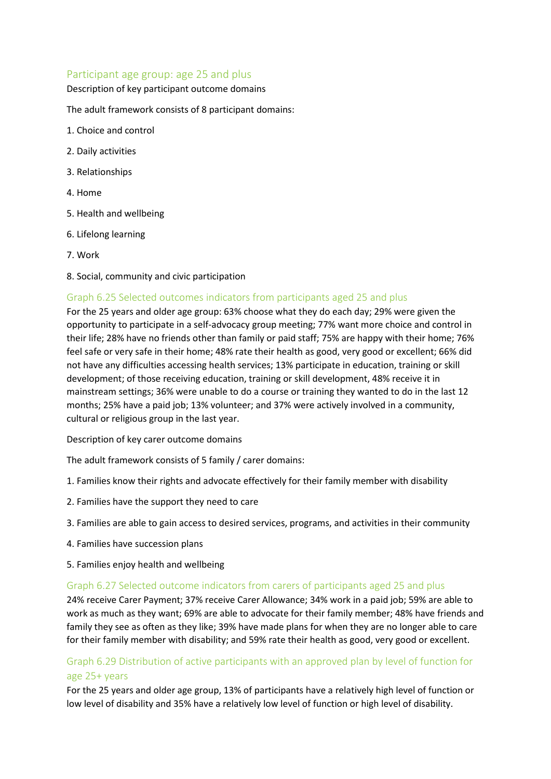#### Participant age group: age 25 and plus

#### Description of key participant outcome domains

The adult framework consists of 8 participant domains:

- 1. Choice and control
- 2. Daily activities
- 3. Relationships
- 4. Home
- 5. Health and wellbeing
- 6. Lifelong learning
- 7. Work
- 8. Social, community and civic participation

#### Graph 6.25 Selected outcomes indicators from participants aged 25 and plus

For the 25 years and older age group: 63% choose what they do each day; 29% were given the opportunity to participate in a self-advocacy group meeting; 77% want more choice and control in their life; 28% have no friends other than family or paid staff; 75% are happy with their home; 76% feel safe or very safe in their home; 48% rate their health as good, very good or excellent; 66% did not have any difficulties accessing health services; 13% participate in education, training or skill development; of those receiving education, training or skill development, 48% receive it in mainstream settings; 36% were unable to do a course or training they wanted to do in the last 12 months; 25% have a paid job; 13% volunteer; and 37% were actively involved in a community, cultural or religious group in the last year.

Description of key carer outcome domains

The adult framework consists of 5 family / carer domains:

- 1. Families know their rights and advocate effectively for their family member with disability
- 2. Families have the support they need to care
- 3. Families are able to gain access to desired services, programs, and activities in their community
- 4. Families have succession plans
- 5. Families enjoy health and wellbeing

#### Graph 6.27 Selected outcome indicators from carers of participants aged 25 and plus

24% receive Carer Payment; 37% receive Carer Allowance; 34% work in a paid job; 59% are able to work as much as they want; 69% are able to advocate for their family member; 48% have friends and family they see as often as they like; 39% have made plans for when they are no longer able to care for their family member with disability; and 59% rate their health as good, very good or excellent.

## Graph 6.29 Distribution of active participants with an approved plan by level of function for age 25+ years

For the 25 years and older age group, 13% of participants have a relatively high level of function or low level of disability and 35% have a relatively low level of function or high level of disability.